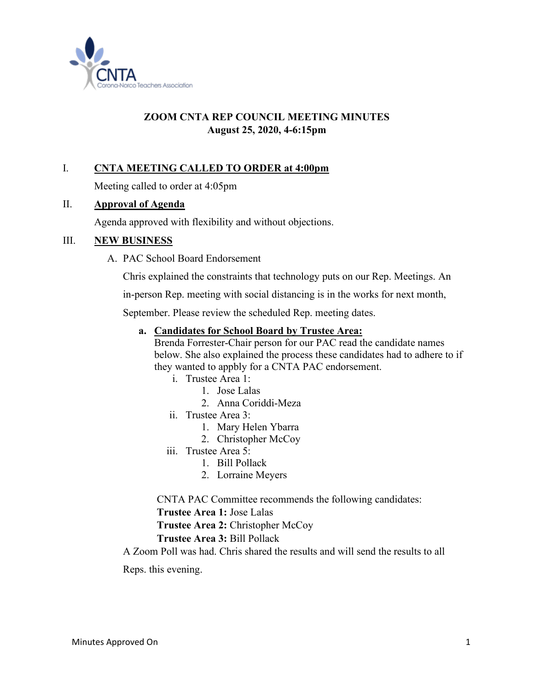

# **ZOOM CNTA REP COUNCIL MEETING MINUTES August 25, 2020, 4-6:15pm**

# I. **CNTA MEETING CALLED TO ORDER at 4:00pm**

Meeting called to order at 4:05pm

### II. **Approval of Agenda**

Agenda approved with flexibility and without objections.

### III. **NEW BUSINESS**

A. PAC School Board Endorsement

Chris explained the constraints that technology puts on our Rep. Meetings. An

in-person Rep. meeting with social distancing is in the works for next month,

September. Please review the scheduled Rep. meeting dates.

#### **a. Candidates for School Board by Trustee Area:**

Brenda Forrester-Chair person for our PAC read the candidate names below. She also explained the process these candidates had to adhere to if they wanted to appbly for a CNTA PAC endorsement.

- i. Trustee Area 1:
	- 1. Jose Lalas
	- 2. Anna Coriddi-Meza
- ii. Trustee Area 3:
	- 1. Mary Helen Ybarra
	- 2. Christopher McCoy
- iii. Trustee Area 5:
	- 1. Bill Pollack
	- 2. Lorraine Meyers

CNTA PAC Committee recommends the following candidates:

**Trustee Area 1:** Jose Lalas

**Trustee Area 2:** Christopher McCoy

#### **Trustee Area 3:** Bill Pollack

A Zoom Poll was had. Chris shared the results and will send the results to all

Reps. this evening.